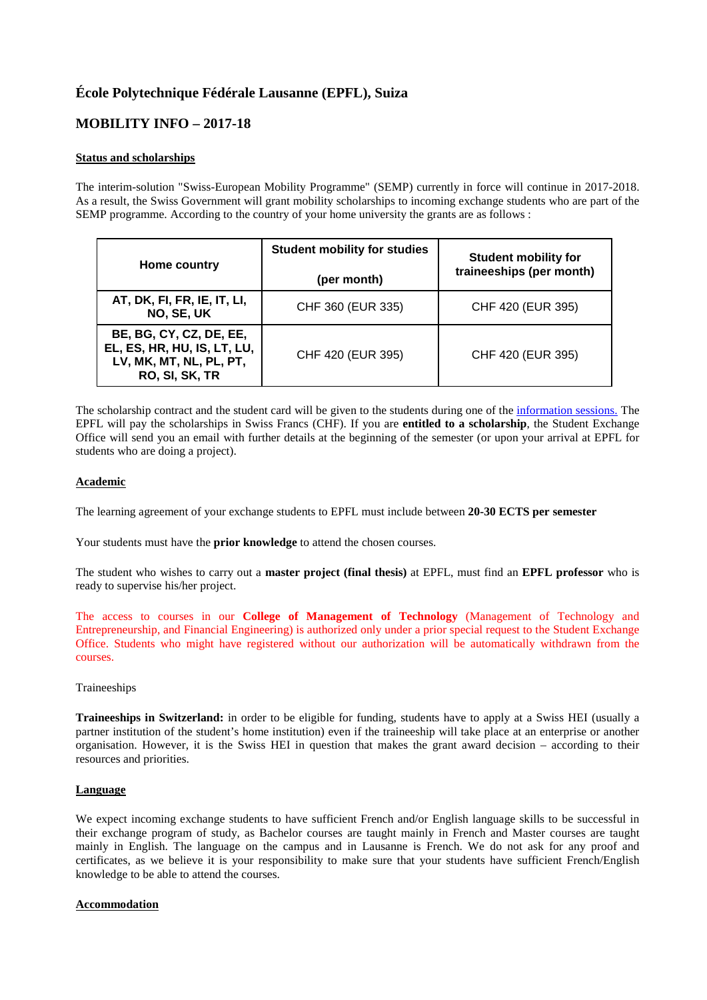# **École Polytechnique Fédérale Lausanne (EPFL), Suiza**

## **MOBILITY INFO – 2017-18**

## **Status and scholarships**

The interim-solution "Swiss-European Mobility Programme" (SEMP) currently in force will continue in 2017-2018. As a result, the Swiss Government will grant mobility scholarships to incoming exchange students who are part of the SEMP programme. According to the country of your home university the grants are as follows :

| Home country                                                                                        | <b>Student mobility for studies</b> | <b>Student mobility for</b> |
|-----------------------------------------------------------------------------------------------------|-------------------------------------|-----------------------------|
|                                                                                                     | (per month)                         | traineeships (per month)    |
| AT, DK, FI, FR, IE, IT, LI,<br>NO, SE, UK                                                           | CHF 360 (EUR 335)                   | CHF 420 (EUR 395)           |
| BE, BG, CY, CZ, DE, EE,<br>EL, ES, HR, HU, IS, LT, LU,<br>LV, MK, MT, NL, PL, PT,<br>RO, SI, SK, TR | CHF 420 (EUR 395)                   | CHF 420 (EUR 395)           |

The scholarship contract and the student card will be given to the students during one of the [information sessions.](http://studying.epfl.ch/welcomeExchange) The EPFL will pay the scholarships in Swiss Francs (CHF). If you are **entitled to a scholarship**, the Student Exchange Office will send you an email with further details at the beginning of the semester (or upon your arrival at EPFL for students who are doing a project).

## **Academic**

The learning agreement of your exchange students to EPFL must include between **20-30 ECTS per semester**

Your students must have the **prior knowledge** to attend the chosen courses.

The student who wishes to carry out a **master project (final thesis)** at EPFL, must find an **EPFL professor** who is ready to supervise his/her project.

The access to courses in our **[College of Management of Technology](http://cdm.epfl.ch/)** (Management of Technology and Entrepreneurship, and Financial Engineering) is authorized only under a prior special request to the Student Exchange Office. Students who might have registered without our authorization will be automatically withdrawn from the courses.

#### Traineeships

**Traineeships in Switzerland:** in order to be eligible for funding, students have to apply at a Swiss HEI (usually a partner institution of the student's home institution) even if the traineeship will take place at an enterprise or another organisation. However, it is the Swiss HEI in question that makes the grant award decision – according to their resources and priorities.

#### **Language**

We expect incoming exchange students to have sufficient French and/or English language skills to be successful in their exchange program of study, as Bachelor courses are taught mainly in French and Master courses are taught mainly in English. The language on the campus and in Lausanne is French. We do not ask for any proof and certificates, as we believe it is your responsibility to make sure that your students have sufficient French/English knowledge to be able to attend the courses.

#### **Accommodation**